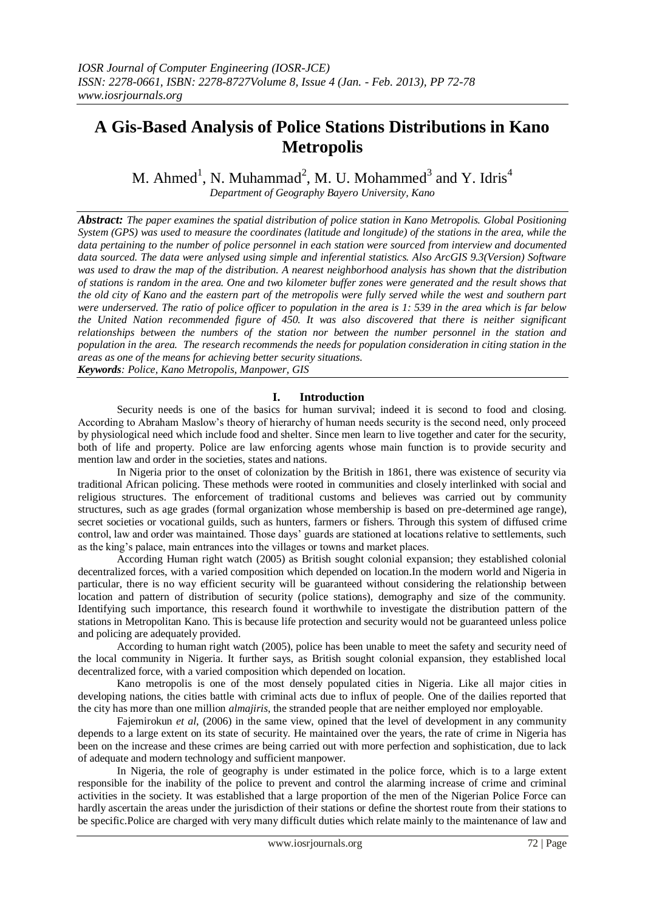# **A Gis-Based Analysis of Police Stations Distributions in Kano Metropolis**

M. Ahmed<sup>1</sup>, N. Muhammad<sup>2</sup>, M. U. Mohammed<sup>3</sup> and Y. Idris<sup>4</sup> *Department of Geography Bayero University, Kano*

*Abstract: The paper examines the spatial distribution of police station in Kano Metropolis. Global Positioning System (GPS) was used to measure the coordinates (latitude and longitude) of the stations in the area, while the data pertaining to the number of police personnel in each station were sourced from interview and documented data sourced. The data were anlysed using simple and inferential statistics. Also ArcGIS 9.3(Version) Software was used to draw the map of the distribution. A nearest neighborhood analysis has shown that the distribution of stations is random in the area. One and two kilometer buffer zones were generated and the result shows that the old city of Kano and the eastern part of the metropolis were fully served while the west and southern part were underserved. The ratio of police officer to population in the area is 1: 539 in the area which is far below the United Nation recommended figure of 450. It was also discovered that there is neither significant relationships between the numbers of the station nor between the number personnel in the station and population in the area. The research recommends the needs for population consideration in citing station in the areas as one of the means for achieving better security situations. Keywords: Police, Kano Metropolis, Manpower, GIS*

### **I. Introduction**

Security needs is one of the basics for human survival; indeed it is second to food and closing. According to Abraham Maslow's theory of hierarchy of human needs security is the second need, only proceed by physiological need which include food and shelter. Since men learn to live together and cater for the security, both of life and property. Police are law enforcing agents whose main function is to provide security and mention law and order in the societies, states and nations.

In Nigeria prior to the onset of colonization by the British in 1861, there was existence of security via traditional African policing. These methods were rooted in communities and closely interlinked with social and religious structures. The enforcement of traditional customs and believes was carried out by community structures, such as age grades (formal organization whose membership is based on pre-determined age range), secret societies or vocational guilds, such as hunters, farmers or fishers. Through this system of diffused crime control, law and order was maintained. Those days' guards are stationed at locations relative to settlements, such as the king's palace, main entrances into the villages or towns and market places.

According Human right watch (2005) as British sought colonial expansion; they established colonial decentralized forces, with a varied composition which depended on location.In the modern world and Nigeria in particular, there is no way efficient security will be guaranteed without considering the relationship between location and pattern of distribution of security (police stations), demography and size of the community. Identifying such importance, this research found it worthwhile to investigate the distribution pattern of the stations in Metropolitan Kano. This is because life protection and security would not be guaranteed unless police and policing are adequately provided.

According to human right watch (2005), police has been unable to meet the safety and security need of the local community in Nigeria. It further says, as British sought colonial expansion, they established local decentralized force, with a varied composition which depended on location.

Kano metropolis is one of the most densely populated cities in Nigeria. Like all major cities in developing nations, the cities battle with criminal acts due to influx of people. One of the dailies reported that the city has more than one million *almajiris*, the stranded people that are neither employed nor employable.

Fajemirokun *et al*, (2006) in the same view, opined that the level of development in any community depends to a large extent on its state of security. He maintained over the years, the rate of crime in Nigeria has been on the increase and these crimes are being carried out with more perfection and sophistication, due to lack of adequate and modern technology and sufficient manpower.

In Nigeria, the role of geography is under estimated in the police force, which is to a large extent responsible for the inability of the police to prevent and control the alarming increase of crime and criminal activities in the society. It was established that a large proportion of the men of the Nigerian Police Force can hardly ascertain the areas under the jurisdiction of their stations or define the shortest route from their stations to be specific.Police are charged with very many difficult duties which relate mainly to the maintenance of law and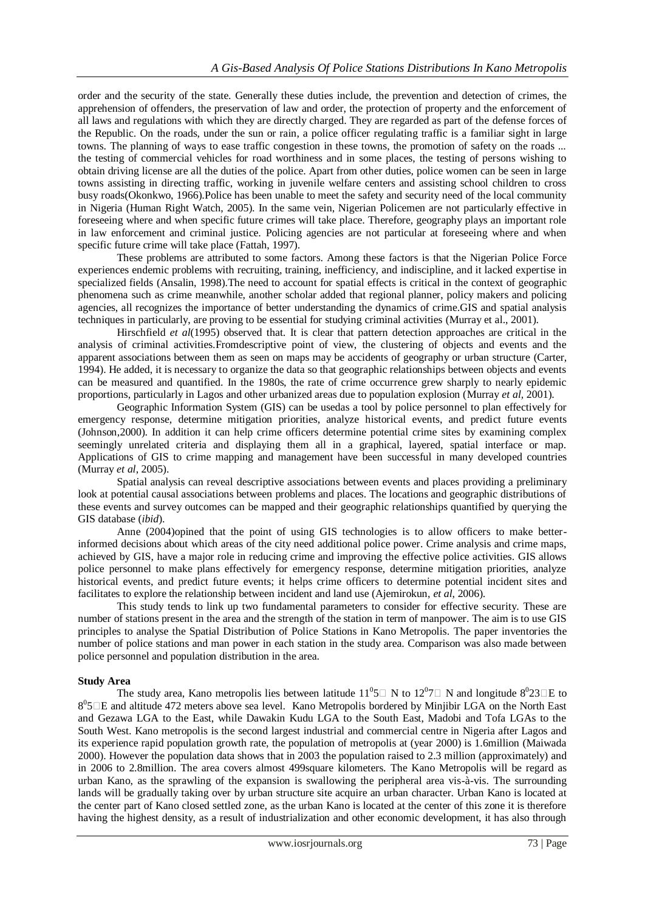order and the security of the state. Generally these duties include, the prevention and detection of crimes, the apprehension of offenders, the preservation of law and order, the protection of property and the enforcement of all laws and regulations with which they are directly charged. They are regarded as part of the defense forces of the Republic. On the roads, under the sun or rain, a police officer regulating traffic is a familiar sight in large towns. The planning of ways to ease traffic congestion in these towns, the promotion of safety on the roads ... the testing of commercial vehicles for road worthiness and in some places, the testing of persons wishing to obtain driving license are all the duties of the police. Apart from other duties, police women can be seen in large towns assisting in directing traffic, working in juvenile welfare centers and assisting school children to cross busy roads(Okonkwo, 1966).Police has been unable to meet the safety and security need of the local community in Nigeria (Human Right Watch, 2005). In the same vein, Nigerian Policemen are not particularly effective in foreseeing where and when specific future crimes will take place. Therefore, geography plays an important role in law enforcement and criminal justice. Policing agencies are not particular at foreseeing where and when specific future crime will take place (Fattah, 1997).

These problems are attributed to some factors. Among these factors is that the Nigerian Police Force experiences endemic problems with recruiting, training, inefficiency, and indiscipline, and it lacked expertise in specialized fields (Ansalin, 1998).The need to account for spatial effects is critical in the context of geographic phenomena such as crime meanwhile, another scholar added that regional planner, policy makers and policing agencies, all recognizes the importance of better understanding the dynamics of crime.GIS and spatial analysis techniques in particularly, are proving to be essential for studying criminal activities (Murray et al., 2001).

Hirschfield *et al*(1995) observed that. It is clear that pattern detection approaches are critical in the analysis of criminal activities.Fromdescriptive point of view, the clustering of objects and events and the apparent associations between them as seen on maps may be accidents of geography or urban structure (Carter, 1994). He added, it is necessary to organize the data so that geographic relationships between objects and events can be measured and quantified. In the 1980s, the rate of crime occurrence grew sharply to nearly epidemic proportions, particularly in Lagos and other urbanized areas due to population explosion (Murray *et al,* 2001).

Geographic Information System (GIS) can be usedas a tool by police personnel to plan effectively for emergency response, determine mitigation priorities, analyze historical events, and predict future events (Johnson,2000). In addition it can help crime officers determine potential crime sites by examining complex seemingly unrelated criteria and displaying them all in a graphical, layered, spatial interface or map. Applications of GIS to crime mapping and management have been successful in many developed countries (Murray *et al*, 2005).

Spatial analysis can reveal descriptive associations between events and places providing a preliminary look at potential causal associations between problems and places. The locations and geographic distributions of these events and survey outcomes can be mapped and their geographic relationships quantified by querying the GIS database (*ibid*).

Anne (2004)opined that the point of using GIS technologies is to allow officers to make betterinformed decisions about which areas of the city need additional police power. Crime analysis and crime maps, achieved by GIS, have a major role in reducing crime and improving the effective police activities. GIS allows police personnel to make plans effectively for emergency response, determine mitigation priorities, analyze historical events, and predict future events; it helps crime officers to determine potential incident sites and facilitates to explore the relationship between incident and land use (Ajemirokun, *et al*, 2006).

This study tends to link up two fundamental parameters to consider for effective security. These are number of stations present in the area and the strength of the station in term of manpower. The aim is to use GIS principles to analyse the Spatial Distribution of Police Stations in Kano Metropolis. The paper inventories the number of police stations and man power in each station in the study area. Comparison was also made between police personnel and population distribution in the area.

### **Study Area**

The study area, Kano metropolis lies between latitude  $11^0$ 5 $\Box$  N to  $12^0$ 7 $\Box$  N and longitude  $8^0$ 23 $\Box$ E to 8<sup>0</sup>5□E and altitude 472 meters above sea level. Kano Metropolis bordered by Minjibir LGA on the North East and Gezawa LGA to the East, while Dawakin Kudu LGA to the South East, Madobi and Tofa LGAs to the South West. Kano metropolis is the second largest industrial and commercial centre in Nigeria after Lagos and its experience rapid population growth rate, the population of metropolis at (year 2000) is 1.6million (Maiwada 2000). However the population data shows that in 2003 the population raised to 2.3 million (approximately) and in 2006 to 2.8million. The area covers almost 499square kilometers. The Kano Metropolis will be regard as urban Kano, as the sprawling of the expansion is swallowing the peripheral area vis-à-vis. The surrounding lands will be gradually taking over by urban structure site acquire an urban character. Urban Kano is located at the center part of Kano closed settled zone, as the urban Kano is located at the center of this zone it is therefore having the highest density, as a result of industrialization and other economic development, it has also through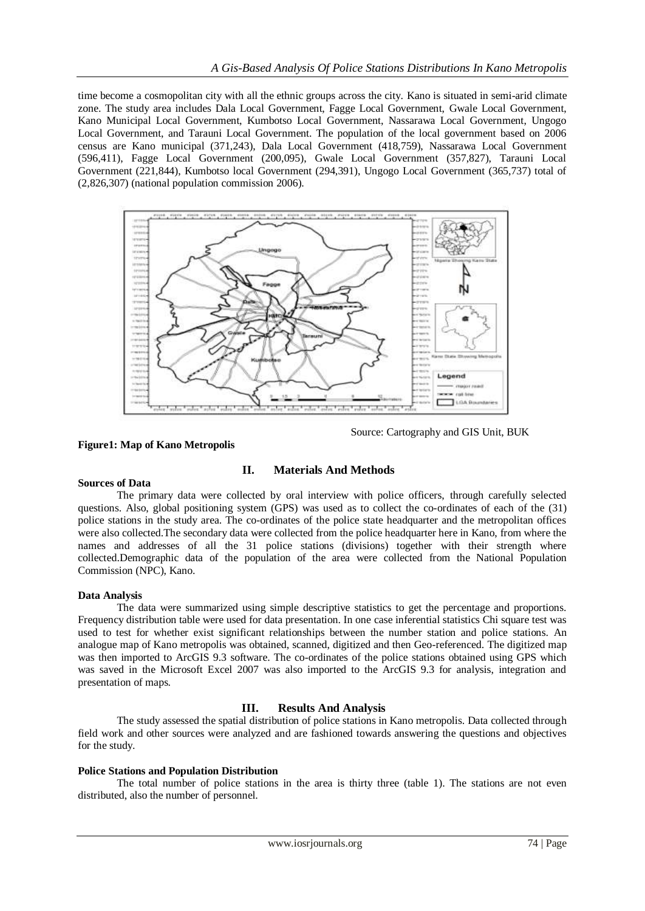time become a cosmopolitan city with all the ethnic groups across the city. Kano is situated in semi-arid climate zone. The study area includes Dala Local Government, Fagge Local Government, Gwale Local Government, Kano Municipal Local Government, Kumbotso Local Government, Nassarawa Local Government, Ungogo Local Government, and Tarauni Local Government. The population of the local government based on 2006 census are Kano municipal (371,243), Dala Local Government (418,759), Nassarawa Local Government (596,411), Fagge Local Government (200,095), Gwale Local Government (357,827), Tarauni Local Government (221,844), Kumbotso local Government (294,391), Ungogo Local Government (365,737) total of (2,826,307) (national population commission 2006).



Source: Cartography and GIS Unit, BUK

## **Figure1: Map of Kano Metropolis**

## **II. Materials And Methods**

### **Sources of Data**

The primary data were collected by oral interview with police officers, through carefully selected questions. Also, global positioning system (GPS) was used as to collect the co-ordinates of each of the (31) police stations in the study area. The co-ordinates of the police state headquarter and the metropolitan offices were also collected.The secondary data were collected from the police headquarter here in Kano, from where the names and addresses of all the 31 police stations (divisions) together with their strength where collected.Demographic data of the population of the area were collected from the National Population Commission (NPC), Kano.

## **Data Analysis**

The data were summarized using simple descriptive statistics to get the percentage and proportions. Frequency distribution table were used for data presentation. In one case inferential statistics Chi square test was used to test for whether exist significant relationships between the number station and police stations. An analogue map of Kano metropolis was obtained, scanned, digitized and then Geo-referenced. The digitized map was then imported to ArcGIS 9.3 software. The co-ordinates of the police stations obtained using GPS which was saved in the Microsoft Excel 2007 was also imported to the ArcGIS 9.3 for analysis, integration and presentation of maps.

## **III. Results And Analysis**

The study assessed the spatial distribution of police stations in Kano metropolis. Data collected through field work and other sources were analyzed and are fashioned towards answering the questions and objectives for the study.

### **Police Stations and Population Distribution**

The total number of police stations in the area is thirty three (table 1). The stations are not even distributed, also the number of personnel.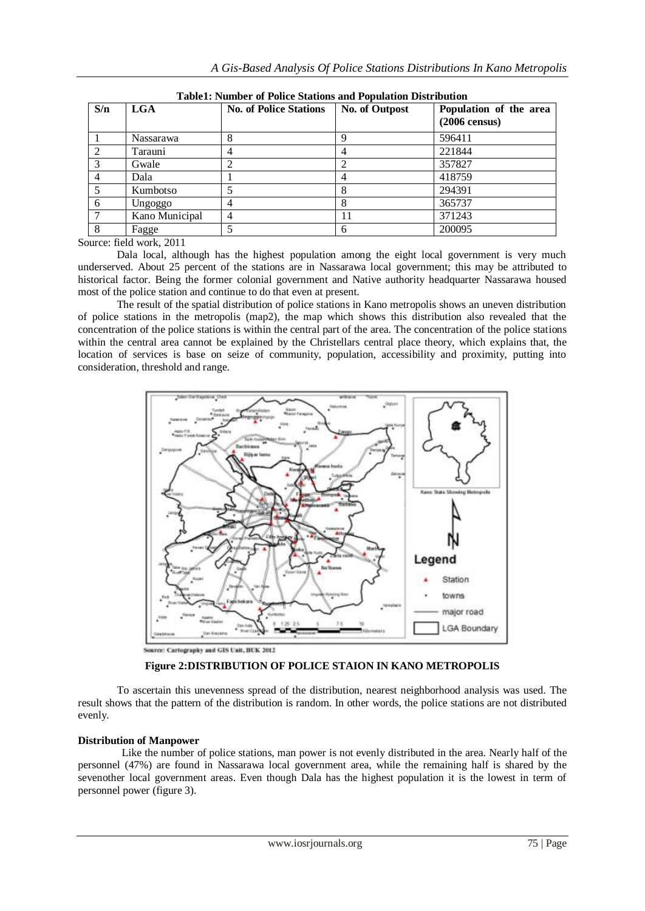| S/n | <b>LGA</b>       | Tubici i fullioci "of I once biations and I opulation Distribution<br><b>No. of Police Stations</b> | No. of Outpost | Population of the area  |
|-----|------------------|-----------------------------------------------------------------------------------------------------|----------------|-------------------------|
|     |                  |                                                                                                     |                | $(2006 \text{ census})$ |
|     | <b>Nassarawa</b> | 8                                                                                                   |                | 596411                  |
|     | Tarauni          | 4                                                                                                   |                | 221844                  |
|     | Gwale            |                                                                                                     |                | 357827                  |
|     | Dala             |                                                                                                     |                | 418759                  |
|     | Kumbotso         |                                                                                                     |                | 294391                  |
|     | Ungoggo          | 4                                                                                                   |                | 365737                  |
|     | Kano Municipal   | 4                                                                                                   | 11             | 371243                  |
|     | Fagge            |                                                                                                     | 6              | 200095                  |

**Table1: Number of Police Stations and Population Distribution**

Source: field work, 2011

Dala local, although has the highest population among the eight local government is very much underserved. About 25 percent of the stations are in Nassarawa local government; this may be attributed to historical factor. Being the former colonial government and Native authority headquarter Nassarawa housed most of the police station and continue to do that even at present.

The result of the spatial distribution of police stations in Kano metropolis shows an uneven distribution of police stations in the metropolis (map2), the map which shows this distribution also revealed that the concentration of the police stations is within the central part of the area. The concentration of the police stations within the central area cannot be explained by the Christellars central place theory, which explains that, the location of services is base on seize of community, population, accessibility and proximity, putting into consideration, threshold and range.



Source: Cartography and GIS Unit, BUK 2012

**Figure 2:DISTRIBUTION OF POLICE STAION IN KANO METROPOLIS**

To ascertain this unevenness spread of the distribution, nearest neighborhood analysis was used. The result shows that the pattern of the distribution is random. In other words, the police stations are not distributed evenly.

## **Distribution of Manpower**

Like the number of police stations, man power is not evenly distributed in the area. Nearly half of the personnel (47%) are found in Nassarawa local government area, while the remaining half is shared by the sevenother local government areas. Even though Dala has the highest population it is the lowest in term of personnel power (figure 3).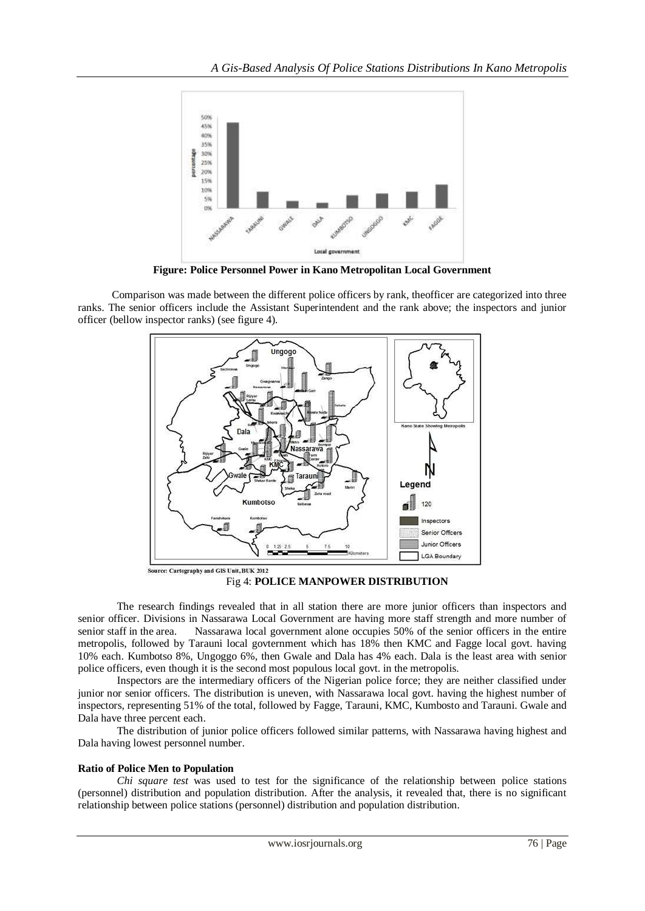

**Figure: Police Personnel Power in Kano Metropolitan Local Government**

Comparison was made between the different police officers by rank, theofficer are categorized into three ranks. The senior officers include the Assistant Superintendent and the rank above; the inspectors and junior officer (bellow inspector ranks) (see figure 4).



Fig 4: **POLICE MANPOWER DISTRIBUTION**

The research findings revealed that in all station there are more junior officers than inspectors and senior officer. Divisions in Nassarawa Local Government are having more staff strength and more number of senior staff in the area. Nassarawa local government alone occupies 50% of the senior officers in the entire metropolis, followed by Tarauni local govternment which has 18% then KMC and Fagge local govt. having 10% each. Kumbotso 8%, Ungoggo 6%, then Gwale and Dala has 4% each. Dala is the least area with senior police officers, even though it is the second most populous local govt. in the metropolis.

Inspectors are the intermediary officers of the Nigerian police force; they are neither classified under junior nor senior officers. The distribution is uneven, with Nassarawa local govt. having the highest number of inspectors, representing 51% of the total, followed by Fagge, Tarauni, KMC, Kumbosto and Tarauni. Gwale and Dala have three percent each.

The distribution of junior police officers followed similar patterns, with Nassarawa having highest and Dala having lowest personnel number.

## **Ratio of Police Men to Population**

*Chi square test* was used to test for the significance of the relationship between police stations (personnel) distribution and population distribution. After the analysis, it revealed that, there is no significant relationship between police stations (personnel) distribution and population distribution.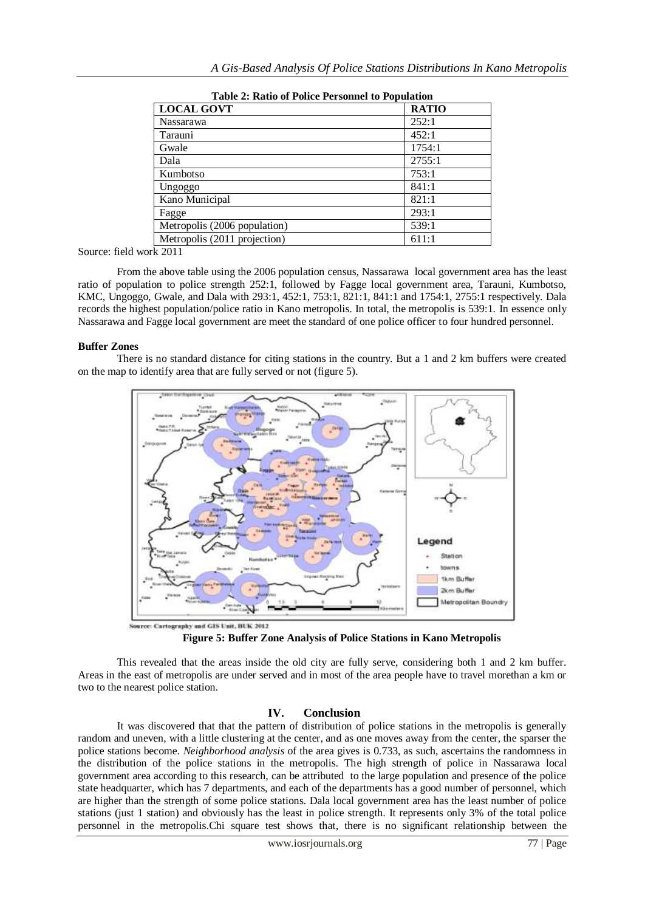| Table 2. Ratio of 1 once I ersonnel to 1 optimital |              |  |  |
|----------------------------------------------------|--------------|--|--|
| <b>LOCAL GOVT</b>                                  | <b>RATIO</b> |  |  |
| <b>Nassarawa</b>                                   | 252:1        |  |  |
| Tarauni                                            | 452:1        |  |  |
| Gwale                                              | 1754:1       |  |  |
| Dala                                               | 2755:1       |  |  |
| Kumbotso                                           | 753:1        |  |  |
| Ungoggo                                            | 841:1        |  |  |
| Kano Municipal                                     | 821:1        |  |  |
| Fagge                                              | 293:1        |  |  |
| Metropolis (2006 population)                       | 539:1        |  |  |
| Metropolis (2011 projection)                       | 611:1        |  |  |

**Table 2: Ratio of Police Personnel to Population**

Source: field work 2011

From the above table using the 2006 population census, Nassarawa local government area has the least ratio of population to police strength 252:1, followed by Fagge local government area, Tarauni, Kumbotso, KMC, Ungoggo, Gwale, and Dala with 293:1, 452:1, 753:1, 821:1, 841:1 and 1754:1, 2755:1 respectively. Dala records the highest population/police ratio in Kano metropolis. In total, the metropolis is 539:1. In essence only Nassarawa and Fagge local government are meet the standard of one police officer to four hundred personnel.

### **Buffer Zones**

There is no standard distance for citing stations in the country. But a 1 and 2 km buffers were created on the map to identify area that are fully served or not (figure 5).



**Figure 5: Buffer Zone Analysis of Police Stations in Kano Metropolis**

This revealed that the areas inside the old city are fully serve, considering both 1 and 2 km buffer. Areas in the east of metropolis are under served and in most of the area people have to travel morethan a km or two to the nearest police station.

## **IV. Conclusion**

It was discovered that that the pattern of distribution of police stations in the metropolis is generally random and uneven, with a little clustering at the center, and as one moves away from the center, the sparser the police stations become. *Neighborhood analysis* of the area gives is 0.733, as such, ascertains the randomness in the distribution of the police stations in the metropolis. The high strength of police in Nassarawa local government area according to this research, can be attributed to the large population and presence of the police state headquarter, which has 7 departments, and each of the departments has a good number of personnel, which are higher than the strength of some police stations. Dala local government area has the least number of police stations (just 1 station) and obviously has the least in police strength. It represents only 3% of the total police personnel in the metropolis.Chi square test shows that, there is no significant relationship between the